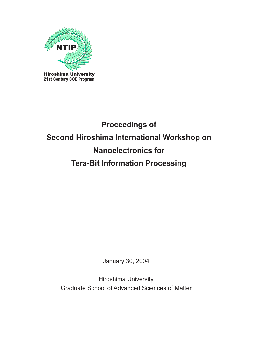

# **Proceedings of Second Hiroshima International Workshop on Nanoelectronics for Tera-Bit Information Processing**

January 30, 2004

Hiroshima University Graduate School of Advanced Sciences of Matter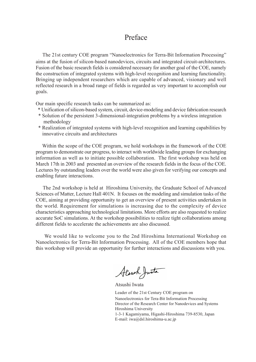## Preface

 The 21st century COE program "Nanoelectronics for Terra-Bit Information Processing" aims at the fusion of silicon-based nanodevices, circuits and integrated circuit-architectures. Fusion of the basic research fields is considered necessary for another goal of the COE, namely the construction of integrated systems with high-level recognition and learning functionality. Bringing up independent researchers which are capable of advanced, visionary and well reflected research in a broad range of fields is regarded as very important to accomplish our goals.

Our main specific research tasks can be summarized as:

- \* Unification of silicon-based system, circuit, device-modeling and device fabrication research
- \* Solution of the persistent 3-dimensional-integration problems by a wireless integration methodology
- \* Realization of integrated systems with high-level recognition and learning capabilities by innovative circuits and architectures

 Within the scope of the COE program, we hold workshops in the framework of the COE program to demonstrate our progress, to interact with worldwide leading groups for exchanging information as well as to initiate possible collaboration. The first workshop was held on March 17th in 2003 and presented an overview of the research fields in the focus of the COE. Lectures by outstanding leaders over the world were also given for verifying our concepts and enabling future interactions.

 The 2nd workshop is held at Hiroshima University, the Graduate School of Advanced Sciences of Matter, Lecture Hall 401N. It focuses on the modeling and simulation tasks of the COE, aiming at providing opportunity to get an overview of present activities undertaken in the world. Requirement for simulations is increasing due to the complexity of device characteristics approaching technological limitations. More efforts are also requested to realize accurate SoC simulations. At the workshop possibilities to realize tight collaborations among different fields to accelerate the achievements are also discussed.

 We would like to welcome you to the 2nd Hiroshima International Workshop on Nanoelectronics for Terra-Bit Information Processing. All of the COE members hope that this workshop will provide an opportunity for further interactions and discussions with you.

Alsuch Justa

Atsushi Iwata

Leader of the 21st Century COE program on Nanoelectronics for Tera-Bit Information Processing Director of the Research Center for Nanodevices and Systems Hiroshima University 1-3-1 Kagamiyama, Higashi-Hiroshima 739-8530, Japan E-mail: iwa@dsl.hiroshima-u.ac.jp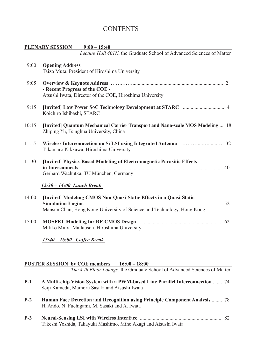## **CONTENTS**

|       | PLENARY SESSION 9:00 - 15:40                                                                                                                                             |
|-------|--------------------------------------------------------------------------------------------------------------------------------------------------------------------------|
|       | Lecture Hall 401N, the Graduate School of Advanced Sciences of Matter                                                                                                    |
| 9:00  | <b>Opening Address</b><br>Taizo Muta, President of Hiroshima University                                                                                                  |
| 9:05  | - Recent Progress of the COE -<br>Atsushi Iwata, Director of the COE, Hiroshima University                                                                               |
| 9:15  | Koichiro Ishibashi, STARC                                                                                                                                                |
| 10:15 | [Invited] Quantum Mechanical Carrier Transport and Nano-scale MOS Modeling  18<br>Zhiping Yu, Tsinghua University, China                                                 |
| 11:15 | Takamaro Kikkawa, Hiroshima University                                                                                                                                   |
| 11:30 | [Invited] Physics-Based Modeling of Electromagnetic Parasitic Effects<br>in Interconnects                                                                                |
|       | Gerhard Wachutka, TU München, Germany                                                                                                                                    |
|       | $12:30 - 14:00$ Lunch Break                                                                                                                                              |
| 14:00 | [Invited] Modeling CMOS Non-Quasi-Static Effects in a Quasi-Static<br><b>Simulation Engine</b><br>Mansun Chan, Hong Kong University of Science and Technology, Hong Kong |
|       |                                                                                                                                                                          |
| 15:00 | Mitiko Miura-Mattausch, Hiroshima University                                                                                                                             |
|       | 15:40 - 16:00 Coffee Break                                                                                                                                               |

### **POSTER SESSION by COE members 16:00 – 18:00**

*The 4-th Floor Lounge*, the Graduate School of Advanced Sciences of Matter

| $P-1$ | A Multi-chip Vision System with a PWM-based Line Parallel Interconnection  74<br>Seiji Kameda, Mamoru Sasaki and Atsushi Iwata      |     |
|-------|-------------------------------------------------------------------------------------------------------------------------------------|-----|
| $P-2$ | <b>Human Face Detection and Recognition using Principle Component Analysis </b> 78<br>H. Ando, N. Fuchigami, M. Sasaki and A. Iwata |     |
| $P-3$ |                                                                                                                                     | 82. |

Takeshi Yoshida, Takayuki Mashimo, Miho Akagi and Atsushi Iwata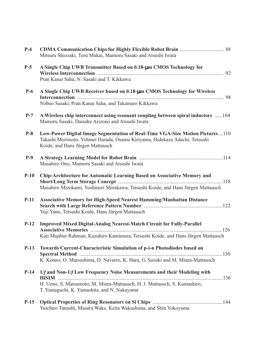| $P-4$  | Mitsuru Shiozaki, Toru Mukai, Mamoru Sasaki and Atsushi Iwata                                                                                                                                        |  |
|--------|------------------------------------------------------------------------------------------------------------------------------------------------------------------------------------------------------|--|
| $P-5$  | A Single Chip UWB Transmitter Based on 0.18-um CMOS Technology for<br>Pran Kanai Saha, N. Sasaki and T. Kikkawa                                                                                      |  |
| $P-6$  | A Single Chip UWB Receiver based on 0.18-um CMOS Technology for Wireless<br>Nobuo Sasaki, Pran Kanai Saha, and Takamaro Kikkawa                                                                      |  |
| $P-7$  | A Wireless chip interconnect using resonant coupling between spiral inductors 104<br>Mamoru Sasaki, Daisuke Arizono and Atsushi Iwata                                                                |  |
| $P-8$  | Low-Power Digital Image Segmentation of Real-Time VGA-Size Motion Pictures 110<br>Takashi Morimoto, Yohmei Harada, Osamu Kiriyama, Hidekazu Adachi, Tetsushi<br>Koide, and Hans Jürgen Mattausch     |  |
| $P-9$  | Masahiro Ono, Mamoru Sasaki and Atsushi Iwata                                                                                                                                                        |  |
| $P-10$ | Chip-Architecture for Automatic Learning Based on Associative Memory and<br>Masahiro Mizokami, Yoshinori Shirakawa, Tetsushi Koide, and Hans Jürgen Mattausch                                        |  |
| $P-11$ | <b>Associative Memory for High-Speed Nearest Hamming/Manhattan Distance</b><br>Yuji Yano, Tetsushi Koide, Hans Jürgen Mattausch                                                                      |  |
| $P-12$ | <b>Improved Mixed Digital-Analog Nearest-Match Circuit for Fully-Parallel</b><br>Kaji Mujibur Rahman, Kazuhiro Kamimura, Tetsushi Koide, and Hans Jürgen Mattausch                                   |  |
| $P-13$ | Towards Current-Characteristic Simulation of p-i-n Photodiodes based on<br>K. Konno, O. Matsushima, D. Navarro, K. Hara, G. Suzuki and M. Miura-Mattausch                                            |  |
| $P-14$ | 1/f and Non-1/f Low Frequency Noise Measurements and their Modeling with<br>H. Ueno, S. Matsumoto, M. Miura-Mattausch, H. J. Mattausch, S. Kumashiro,<br>T. Yamaguchi, K. Yamashita, and N. Nakayama |  |
| $P-15$ | Yuichiro Tanushi, Masaru Wake, Keita Wakushima, and Shin Yokoyama                                                                                                                                    |  |